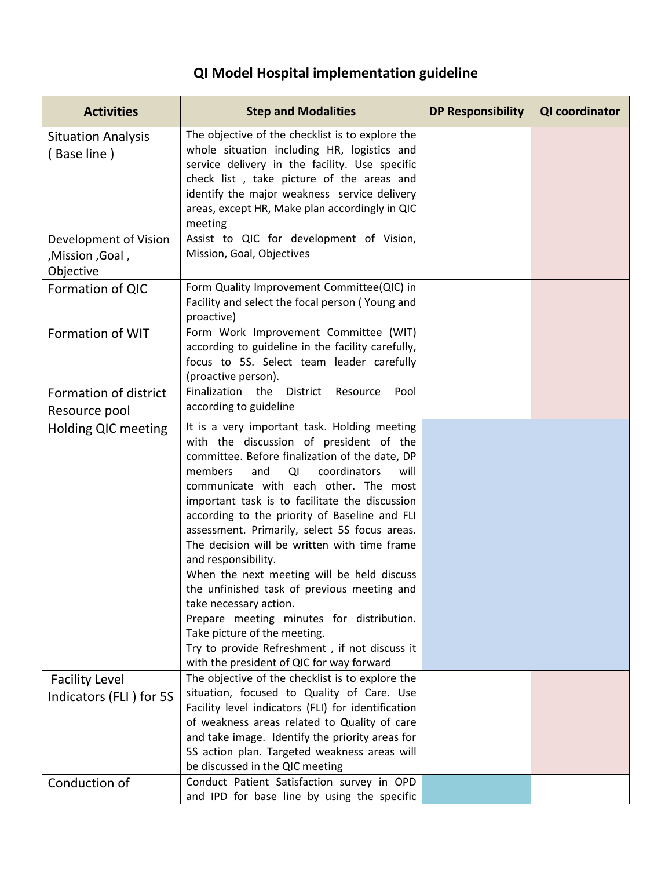## **QI Model Hospital implementation guideline**

| <b>Activities</b>                                      | <b>Step and Modalities</b>                                                                                                                                                                                                                                                                                                                                                                                                                                                                                                                                                                                                                                                                                                                                      | <b>DP Responsibility</b> | QI coordinator |
|--------------------------------------------------------|-----------------------------------------------------------------------------------------------------------------------------------------------------------------------------------------------------------------------------------------------------------------------------------------------------------------------------------------------------------------------------------------------------------------------------------------------------------------------------------------------------------------------------------------------------------------------------------------------------------------------------------------------------------------------------------------------------------------------------------------------------------------|--------------------------|----------------|
| <b>Situation Analysis</b><br>(Base line)               | The objective of the checklist is to explore the<br>whole situation including HR, logistics and<br>service delivery in the facility. Use specific<br>check list, take picture of the areas and<br>identify the major weakness service delivery<br>areas, except HR, Make plan accordingly in QIC<br>meeting                                                                                                                                                                                                                                                                                                                                                                                                                                                     |                          |                |
| Development of Vision<br>, Goal, Mission,<br>Objective | Assist to QIC for development of Vision,<br>Mission, Goal, Objectives                                                                                                                                                                                                                                                                                                                                                                                                                                                                                                                                                                                                                                                                                           |                          |                |
| Formation of QIC                                       | Form Quality Improvement Committee(QIC) in<br>Facility and select the focal person (Young and<br>proactive)                                                                                                                                                                                                                                                                                                                                                                                                                                                                                                                                                                                                                                                     |                          |                |
| Formation of WIT                                       | Form Work Improvement Committee (WIT)<br>according to guideline in the facility carefully,<br>focus to 5S. Select team leader carefully<br>(proactive person).                                                                                                                                                                                                                                                                                                                                                                                                                                                                                                                                                                                                  |                          |                |
| Formation of district<br>Resource pool                 | Finalization<br>the<br>District<br>Resource<br>Pool<br>according to guideline                                                                                                                                                                                                                                                                                                                                                                                                                                                                                                                                                                                                                                                                                   |                          |                |
| Holding QIC meeting                                    | It is a very important task. Holding meeting<br>with the discussion of president of the<br>committee. Before finalization of the date, DP<br>coordinators<br>members<br>and<br>QI<br>will<br>communicate with each other. The most<br>important task is to facilitate the discussion<br>according to the priority of Baseline and FLI<br>assessment. Primarily, select 5S focus areas.<br>The decision will be written with time frame<br>and responsibility.<br>When the next meeting will be held discuss<br>the unfinished task of previous meeting and<br>take necessary action.<br>Prepare meeting minutes for distribution.<br>Take picture of the meeting.<br>Try to provide Refreshment, if not discuss it<br>with the president of QIC for way forward |                          |                |
| <b>Facility Level</b><br>Indicators (FLI) for 5S       | The objective of the checklist is to explore the<br>situation, focused to Quality of Care. Use<br>Facility level indicators (FLI) for identification<br>of weakness areas related to Quality of care<br>and take image. Identify the priority areas for<br>5S action plan. Targeted weakness areas will<br>be discussed in the QIC meeting                                                                                                                                                                                                                                                                                                                                                                                                                      |                          |                |
| Conduction of                                          | Conduct Patient Satisfaction survey in OPD<br>and IPD for base line by using the specific                                                                                                                                                                                                                                                                                                                                                                                                                                                                                                                                                                                                                                                                       |                          |                |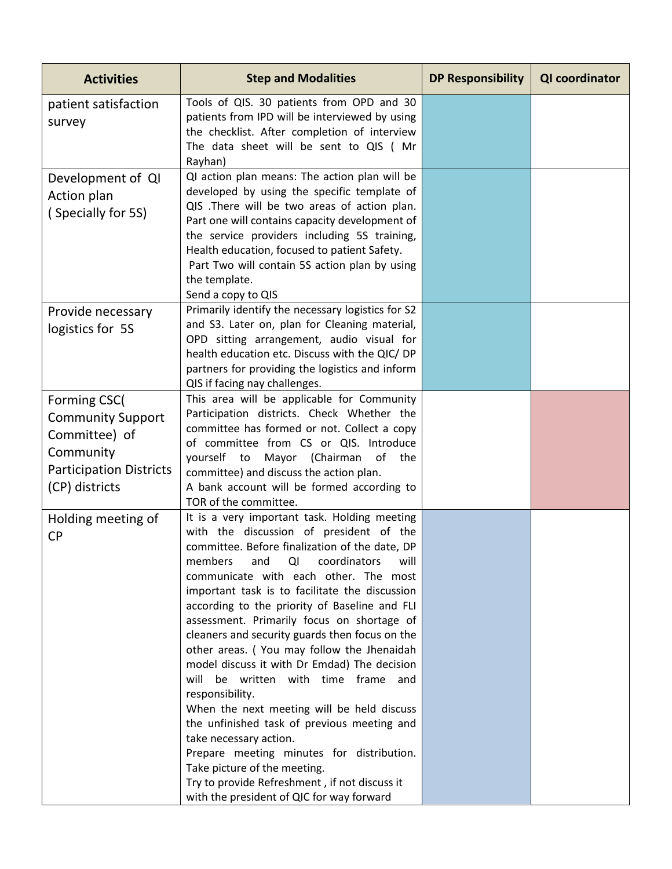| <b>Activities</b>                                                                                                          | <b>Step and Modalities</b>                                                                                                                                                                                                                                                                                                                                                                                                                                                                                                                                                                                                                                                                                                                                                                                                                                                                      | <b>DP Responsibility</b> | QI coordinator |
|----------------------------------------------------------------------------------------------------------------------------|-------------------------------------------------------------------------------------------------------------------------------------------------------------------------------------------------------------------------------------------------------------------------------------------------------------------------------------------------------------------------------------------------------------------------------------------------------------------------------------------------------------------------------------------------------------------------------------------------------------------------------------------------------------------------------------------------------------------------------------------------------------------------------------------------------------------------------------------------------------------------------------------------|--------------------------|----------------|
| patient satisfaction<br>survey                                                                                             | Tools of QIS. 30 patients from OPD and 30<br>patients from IPD will be interviewed by using<br>the checklist. After completion of interview<br>The data sheet will be sent to QIS ( Mr<br>Rayhan)                                                                                                                                                                                                                                                                                                                                                                                                                                                                                                                                                                                                                                                                                               |                          |                |
| Development of QI<br>Action plan<br>(Specially for 5S)                                                                     | QI action plan means: The action plan will be<br>developed by using the specific template of<br>QIS .There will be two areas of action plan.<br>Part one will contains capacity development of<br>the service providers including 5S training,<br>Health education, focused to patient Safety.<br>Part Two will contain 5S action plan by using<br>the template.<br>Send a copy to QIS                                                                                                                                                                                                                                                                                                                                                                                                                                                                                                          |                          |                |
| Provide necessary<br>logistics for 5S                                                                                      | Primarily identify the necessary logistics for S2<br>and S3. Later on, plan for Cleaning material,<br>OPD sitting arrangement, audio visual for<br>health education etc. Discuss with the QIC/ DP<br>partners for providing the logistics and inform<br>QIS if facing nay challenges.                                                                                                                                                                                                                                                                                                                                                                                                                                                                                                                                                                                                           |                          |                |
| Forming CSC(<br><b>Community Support</b><br>Committee) of<br>Community<br><b>Participation Districts</b><br>(CP) districts | This area will be applicable for Community<br>Participation districts. Check Whether the<br>committee has formed or not. Collect a copy<br>of committee from CS or QIS. Introduce<br>yourself to<br>Mayor (Chairman<br>of<br>the<br>committee) and discuss the action plan.<br>A bank account will be formed according to<br>TOR of the committee.                                                                                                                                                                                                                                                                                                                                                                                                                                                                                                                                              |                          |                |
| Holding meeting of<br><b>CP</b>                                                                                            | It is a very important task. Holding meeting<br>with the discussion of president of the<br>committee. Before finalization of the date, DP<br>members<br>and<br>coordinators<br>will<br>QI<br>communicate with each other. The most<br>important task is to facilitate the discussion<br>according to the priority of Baseline and FLI<br>assessment. Primarily focus on shortage of<br>cleaners and security guards then focus on the<br>other areas. (You may follow the Jhenaidah<br>model discuss it with Dr Emdad) The decision<br>will be written with time frame and<br>responsibility.<br>When the next meeting will be held discuss<br>the unfinished task of previous meeting and<br>take necessary action.<br>Prepare meeting minutes for distribution.<br>Take picture of the meeting.<br>Try to provide Refreshment, if not discuss it<br>with the president of QIC for way forward |                          |                |